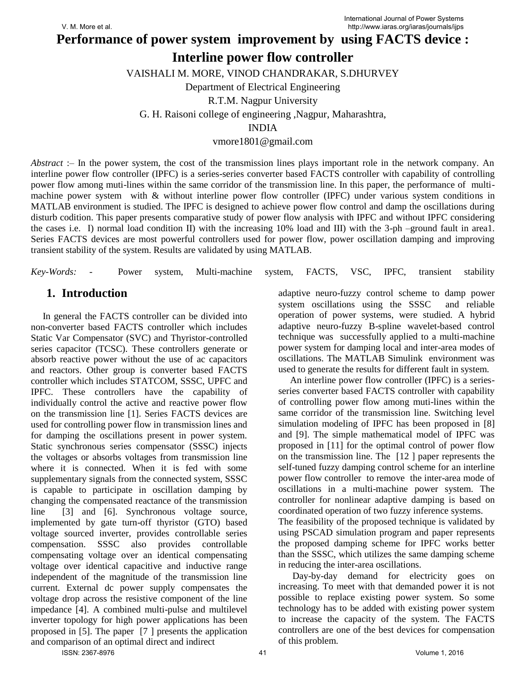**Performance of power system improvement by using FACTS device :**

# **Interline power flow controller**

VAISHALI M. MORE, VINOD CHANDRAKAR, S.DHURVEY

Department of Electrical Engineering

R.T.M. Nagpur University

G. H. Raisoni college of engineering ,Nagpur, Maharashtra,

INDIA

### vmore1801@gmail.com

*Abstract* :– In the power system, the cost of the transmission lines plays important role in the network company. An interline power flow controller (IPFC) is a series-series converter based FACTS controller with capability of controlling power flow among muti-lines within the same corridor of the transmission line. In this paper, the performance of multimachine power system with & without interline power flow controller (IPFC) under various system conditions in MATLAB environment is studied. The IPFC is designed to achieve power flow control and damp the oscillations during disturb codition. This paper presents comparative study of power flow analysis with IPFC and without IPFC considering the cases i.e. I) normal load condition II) with the increasing 10% load and III) with the 3-ph –ground fault in area1. Series FACTS devices are most powerful controllers used for power flow, power oscillation damping and improving transient stability of the system. Results are validated by using MATLAB.

| Key-Words: - |  |  | Power system, Multi-machine system, FACTS, VSC, IPFC, transient stability |  |  |  |  |  |  |
|--------------|--|--|---------------------------------------------------------------------------|--|--|--|--|--|--|
|--------------|--|--|---------------------------------------------------------------------------|--|--|--|--|--|--|

## **1. Introduction**

 In general the FACTS controller can be divided into non-converter based FACTS controller which includes Static Var Compensator (SVC) and Thyristor-controlled series capacitor (TCSC). These controllers generate or absorb reactive power without the use of ac capacitors and reactors. Other group is converter based FACTS controller which includes STATCOM, SSSC, UPFC and IPFC. These controllers have the capability of individually control the active and reactive power flow on the transmission line [1]. Series FACTS devices are used for controlling power flow in transmission lines and for damping the oscillations present in power system. Static synchronous series compensator (SSSC) injects the voltages or absorbs voltages from transmission line where it is connected. When it is fed with some supplementary signals from the connected system, SSSC is capable to participate in oscillation damping by changing the compensated reactance of the transmission line [3] and [6]. Synchronous voltage source, implemented by gate turn-off thyristor (GTO) based voltage sourced inverter, provides controllable series compensation. SSSC also provides controllable compensating voltage over an identical compensating voltage over identical capacitive and inductive range independent of the magnitude of the transmission line current. External dc power supply compensates the voltage drop across the resistive component of the line impedance [4]. A combined multi-pulse and multilevel inverter topology for high power applications has been proposed in [5]. The paper [7 ] presents the application and comparison of an optimal direct and indirect

adaptive neuro-fuzzy control scheme to damp power system oscillations using the SSSC and reliable operation of power systems, were studied. A hybrid adaptive neuro-fuzzy B-spline wavelet-based control technique was successfully applied to a multi-machine power system for damping local and inter-area modes of oscillations. The MATLAB Simulink environment was used to generate the results for different fault in system.

 An interline power flow controller (IPFC) is a seriesseries converter based FACTS controller with capability of controlling power flow among muti-lines within the same corridor of the transmission line. Switching level simulation modeling of IPFC has been proposed in [8] and [9]. The simple mathematical model of IPFC was proposed in [11] for the optimal control of power flow on the transmission line. The [12 ] paper represents the self-tuned fuzzy damping control scheme for an interline power flow controller to remove the inter-area mode of oscillations in a multi-machine power system. The controller for nonlinear adaptive damping is based on coordinated operation of two fuzzy inference systems. The feasibility of the proposed technique is validated by using PSCAD simulation program and paper represents the proposed damping scheme for IPFC works better than the SSSC, which utilizes the same damping scheme

 Day-by-day demand for electricity goes on increasing. To meet with that demanded power it is not possible to replace existing power system. So some technology has to be added with existing power system to increase the capacity of the system. The FACTS controllers are one of the best devices for compensation of this problem.

in reducing the inter-area oscillations.

ISSN: 2367-8976 41 Volume 1, 2016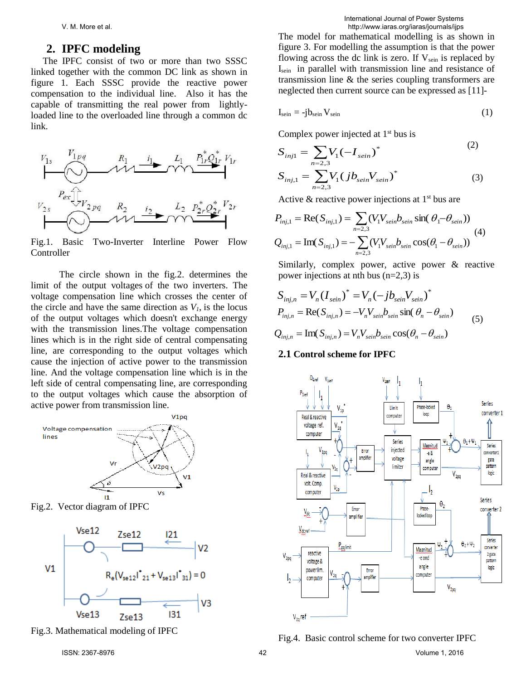### **2. IPFC modeling**

The IPFC consist of two or more than two SSSC linked together with the common DC link as shown in figure 1. Each SSSC provide the reactive power compensation to the individual line. Also it has the capable of transmitting the real power from lightlyloaded line to the overloaded line through a common dc link.



Fig.1. Basic Two-Inverter Interline Power Flow Controller

 The circle shown in the fig.2. determines the limit of the output voltages of the two inverters. The voltage compensation line which crosses the center of the circle and have the same direction as  $V<sub>1</sub>$ , is the locus of the output voltages which doesn't exchange energy with the transmission lines.The voltage compensation lines which is in the right side of central compensating line, are corresponding to the output voltages which cause the injection of active power to the transmission line. And the voltage compensation line which is in the left side of central compensating line, are corresponding to the output voltages which cause the absorption of active power from transmission line.



Fig.2. Vector diagram of IPFC



Fig.3. Mathematical modeling of IPFC

The model for mathematical modelling is as shown in figure 3. For modelling the assumption is that the power flowing across the dc link is zero. If  $V_{\text{semi}}$  is replaced by Isein in parallel with transmission line and resistance of transmission line & the series coupling transformers are neglected then current source can be expressed as [11]-

$$
I_{\rm sein} = -j b_{\rm sein} V_{\rm sein} \tag{1}
$$

Complex power injected at  $1<sup>st</sup>$  bus is

$$
S_{inj1} = \sum_{n=2,3} V_1 (-I_{sein})^*
$$
\n
$$
S_{inj,1} = \sum_{n=2,3} V_1 (jb_{sein} V_{sein})^*
$$
\n(3)

Active & reactive power injections at  $1<sup>st</sup>$  bus are

$$
P_{inj,1} = \text{Re}(S_{inj,1}) = \sum_{n=2,3} (V_1 V_{sein} b_{sein} \sin(\theta_1 - \theta_{sein}))
$$
  

$$
Q_{inj,1} = \text{Im}(S_{inj,1}) = -\sum_{n=2,3} (V_1 V_{sein} b_{sein} \cos(\theta_1 - \theta_{sein}))
$$
 (4)

Similarly, complex power, active power & reactive power injections at nth bus  $(n=2,3)$  is

$$
S_{inj,n} = V_n (I_{sein})^* = V_n (-jb_{sein} V_{sein})^*
$$
  
\n
$$
P_{inj,n} = \text{Re}(S_{inj,n}) = -V_n V_{sein} b_{sein} \sin(\theta_n - \theta_{sein})
$$
  
\n
$$
Q_{inj,n} = \text{Im}(S_{inj,n}) = V_n V_{sein} b_{sein} \cos(\theta_n - \theta_{sein})
$$
\n(5)

**2.1 Control scheme for IPFC**

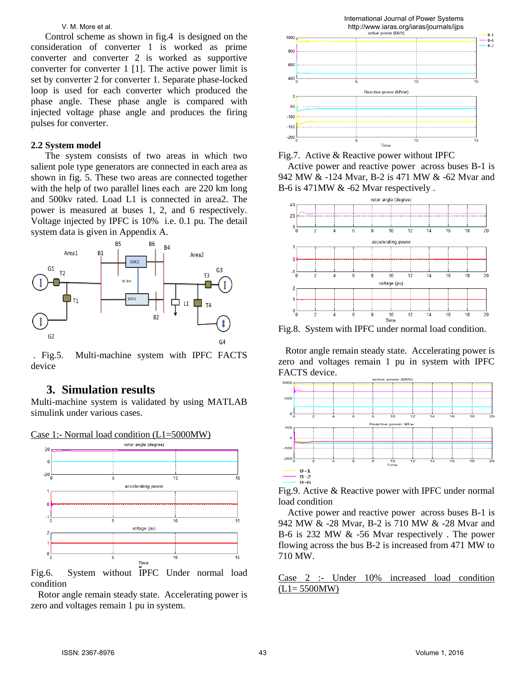Control scheme as shown in fig.4 is designed on the consideration of converter 1 is worked as prime converter and converter 2 is worked as supportive converter for converter 1 [1]. The active power limit is set by converter 2 for converter 1. Separate phase-locked loop is used for each converter which produced the phase angle. These phase angle is compared with injected voltage phase angle and produces the firing pulses for converter.

#### **2.2 System model**

 The system consists of two areas in which two salient pole type generators are connected in each area as shown in fig. 5. These two areas are connected together with the help of two parallel lines each are 220 km long and 500kv rated. Load L1 is connected in area2. The power is measured at buses 1, 2, and 6 respectively. Voltage injected by IPFC is 10% i.e. 0.1 pu. The detail system data is given in Appendix A.



. Fig.5. Multi-machine system with IPFC FACTS device

### **3. Simulation results**

Multi-machine system is validated by using MATLAB simulink under various cases.



Fig.6. System without IPFC Under normal load condition

 Rotor angle remain steady state. Accelerating power is zero and voltages remain 1 pu in system.



Fig.7. Active & Reactive power without IPFC

 Active power and reactive power across buses B-1 is 942 MW & -124 Mvar, B-2 is 471 MW & -62 Mvar and B-6 is 471MW & -62 Mvar respectively .



Fig.8. System with IPFC under normal load condition.

 Rotor angle remain steady state. Accelerating power is zero and voltages remain 1 pu in system with IPFC FACTS device.



Fig.9. Active & Reactive power with IPFC under normal load condition

 Active power and reactive power across buses B-1 is 942 MW & -28 Mvar, B-2 is 710 MW & -28 Mvar and B-6 is 232 MW & -56 Mvar respectively . The power flowing across the bus B-2 is increased from 471 MW to 710 MW.

Case 2 :- Under 10% increased load condition  $(L1= 5500MW)$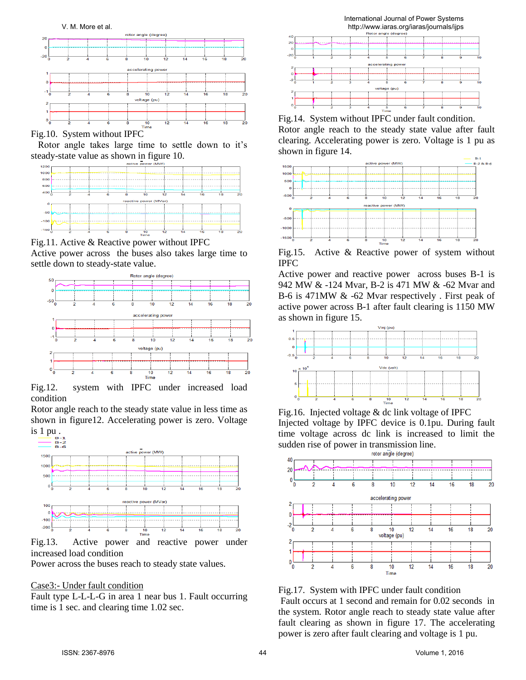

Fig.10. System without IPFC

 Rotor angle takes large time to settle down to it's steady-state value as shown in figure 10.



Fig.11. Active & Reactive power without IPFC

Active power across the buses also takes large time to settle down to steady-state value.



Fig.12. system with IPFC under increased load condition

Rotor angle reach to the steady state value in less time as shown in figure12. Accelerating power is zero. Voltage is 1 pu .



Fig.13. Active power and reactive power under increased load condition

Power across the buses reach to steady state values.

### Case3:- Under fault condition

Fault type L-L-L-G in area 1 near bus 1. Fault occurring time is 1 sec. and clearing time 1.02 sec.



Fig.14. System without IPFC under fault condition. Rotor angle reach to the steady state value after fault clearing. Accelerating power is zero. Voltage is 1 pu as shown in figure 14.



Fig.15. Active & Reactive power of system without IPFC

Active power and reactive power across buses B-1 is 942 MW & -124 Mvar, B-2 is 471 MW & -62 Mvar and B-6 is 471MW & -62 Mvar respectively . First peak of active power across B-1 after fault clearing is 1150 MW as shown in figure 15.



Fig.16. Injected voltage & dc link voltage of IPFC Injected voltage by IPFC device is 0.1pu. During fault time voltage across dc link is increased to limit the sudden rise of power in transmission line.<br> $\frac{1}{\text{rotor angle (degree)}}$ 



Fig.17. System with IPFC under fault condition Fault occurs at 1 second and remain for 0.02 seconds in the system. Rotor angle reach to steady state value after fault clearing as shown in figure 17. The accelerating

power is zero after fault clearing and voltage is 1 pu.